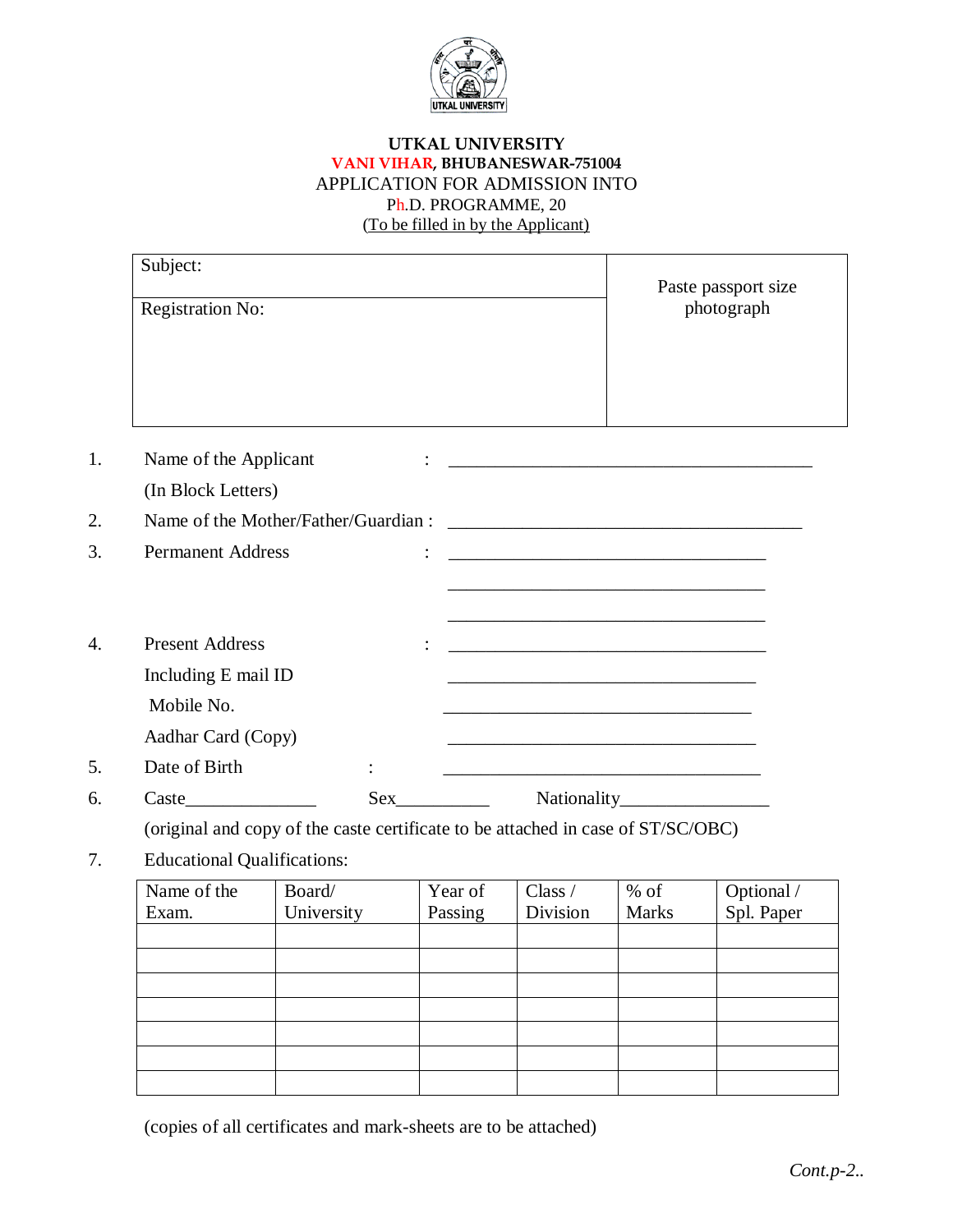

# **UTKAL UNIVERSITY VANI VIHAR, BHUBANESWAR-751004** APPLICATION FOR ADMISSION INTO Ph.D. PROGRAMME, 20 (To be filled in by the Applicant)

| Subject:                | Paste passport size |
|-------------------------|---------------------|
| <b>Registration No:</b> | photograph          |
|                         |                     |

| 1. | Name of the Applicant    |           |                                                                                                                       |  |  |  |
|----|--------------------------|-----------|-----------------------------------------------------------------------------------------------------------------------|--|--|--|
|    | (In Block Letters)       |           |                                                                                                                       |  |  |  |
| 2. |                          |           |                                                                                                                       |  |  |  |
| 3. | <b>Permanent Address</b> |           |                                                                                                                       |  |  |  |
|    |                          |           | <u> 1989 - Johann John Stone, meny ambany amin'ny fivondronan-kaominin'i Paris (no ben'ny faritr'i Nord-Amerika</u>   |  |  |  |
|    |                          |           | <u> 1989 - Johann Harry Harry Harry Harry Harry Harry Harry Harry Harry Harry Harry Harry Harry Harry Harry Harry</u> |  |  |  |
| 4. | <b>Present Address</b>   |           | <u> 1980 - Jan James James Barnett, fransk politik (d. 1980)</u>                                                      |  |  |  |
|    | Including E mail ID      |           |                                                                                                                       |  |  |  |
|    | Mobile No.               |           |                                                                                                                       |  |  |  |
|    | Aadhar Card (Copy)       |           |                                                                                                                       |  |  |  |
| 5. | Date of Birth            | $\bullet$ | <u> 1989 - Johann John Stone, markin film yn y brenin y brenin y brenin y brenin y brenin y brenin y brenin y br</u>  |  |  |  |
| 6. | Caste                    | Sex       | Nationality_<br><u> 1989 - John Stein, Amerikaansk politiker</u>                                                      |  |  |  |

(original and copy of the caste certificate to be attached in case of ST/SC/OBC)

7. Educational Qualifications:

| Name of the | Board/     | Year of | Class /  | $%$ of       |                          |
|-------------|------------|---------|----------|--------------|--------------------------|
| Exam.       | University | Passing | Division | <b>Marks</b> | Optional /<br>Spl. Paper |
|             |            |         |          |              |                          |
|             |            |         |          |              |                          |
|             |            |         |          |              |                          |
|             |            |         |          |              |                          |
|             |            |         |          |              |                          |
|             |            |         |          |              |                          |
|             |            |         |          |              |                          |

(copies of all certificates and mark-sheets are to be attached)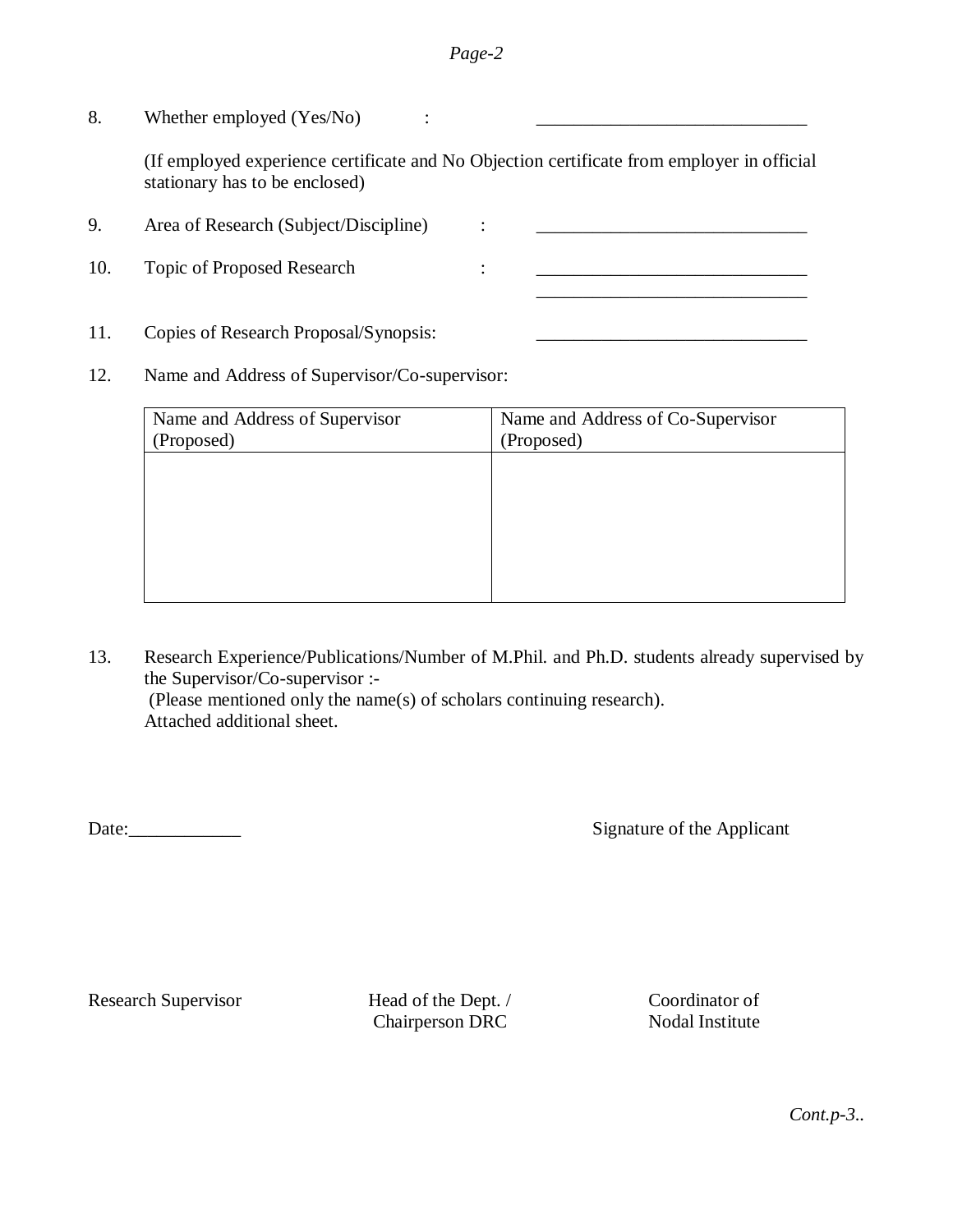## *Page-2*

8. Whether employed (Yes/No) :

(If employed experience certificate and No Objection certificate from employer in official stationary has to be enclosed)

9. Area of Research (Subject/Discipline) : \_\_\_\_\_\_\_\_\_\_\_\_\_\_\_\_\_\_\_\_\_\_\_\_\_\_\_\_\_ 10. Topic of Proposed Research : \_\_\_\_\_\_\_\_\_\_\_\_\_\_\_\_\_\_\_\_\_\_\_\_\_\_\_\_\_

11. Copies of Research Proposal/Synopsis: \_\_\_\_\_\_\_\_\_\_\_\_\_\_\_\_\_\_\_\_\_\_\_\_\_\_\_\_\_

12. Name and Address of Supervisor/Co-supervisor:

| Name and Address of Supervisor | Name and Address of Co-Supervisor |
|--------------------------------|-----------------------------------|
| (Proposed)                     | (Proposed)                        |
|                                |                                   |
|                                |                                   |
|                                |                                   |
|                                |                                   |
|                                |                                   |
|                                |                                   |
|                                |                                   |

13. Research Experience/Publications/Number of M.Phil. and Ph.D. students already supervised by the Supervisor/Co-supervisor :- (Please mentioned only the name(s) of scholars continuing research). Attached additional sheet.

Date: Signature of the Applicant

Research Supervisor Head of the Dept. / Coordinator of

Chairperson DRC Nodal Institute

*Cont.p-3..*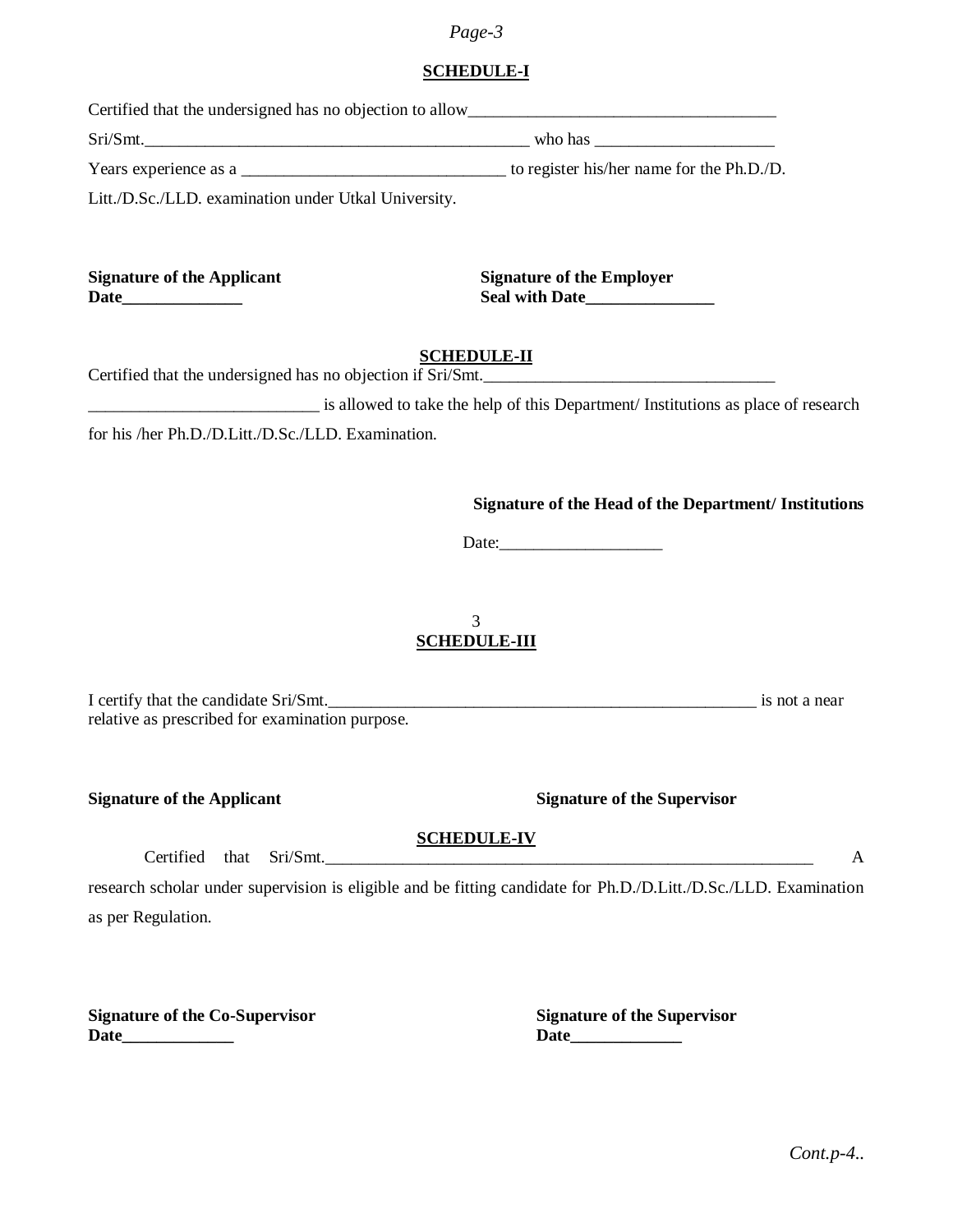#### *Page-3*

# **SCHEDULE-I**

| Certified that the undersigned has no objection to allow |                                  |
|----------------------------------------------------------|----------------------------------|
| Sri/Smt.                                                 |                                  |
|                                                          |                                  |
| Litt./D.Sc./LLD. examination under Utkal University.     |                                  |
|                                                          |                                  |
| <b>Signature of the Applicant</b>                        | <b>Signature of the Employer</b> |
|                                                          | SCHEDIJI E-II                    |

### **SCHEDULE-II**

| Certified that the undersigned has no objection if Sri/Smt. |  |
|-------------------------------------------------------------|--|
|                                                             |  |

\_\_\_\_\_\_\_\_\_\_\_\_\_\_\_\_\_\_\_\_\_\_\_\_\_\_\_ is allowed to take the help of this Department/ Institutions as place of research

for his /her Ph.D./D.Litt./D.Sc./LLD. Examination.

#### **Signature of the Head of the Department/ Institutions**

Date:\_\_\_\_\_\_\_\_\_\_\_\_\_\_\_\_\_\_\_

# 3 **SCHEDULE-III**

| I certify that the candidate Sri/Smt.           | is not a near |
|-------------------------------------------------|---------------|
| relative as prescribed for examination purpose. |               |

**Signature of the Applicant Signature of the Supervisor** 

### **SCHEDULE-IV**

 $Certified$  that  $Sri/Smt$ .  $\qquad \qquad$ 

research scholar under supervision is eligible and be fitting candidate for Ph.D./D.Litt./D.Sc./LLD. Examination as per Regulation.

**Signature of the Co-Supervisor Signature of the Supervisor Date\_\_\_\_\_\_\_\_\_\_\_\_\_ Date\_\_\_\_\_\_\_\_\_\_\_\_\_**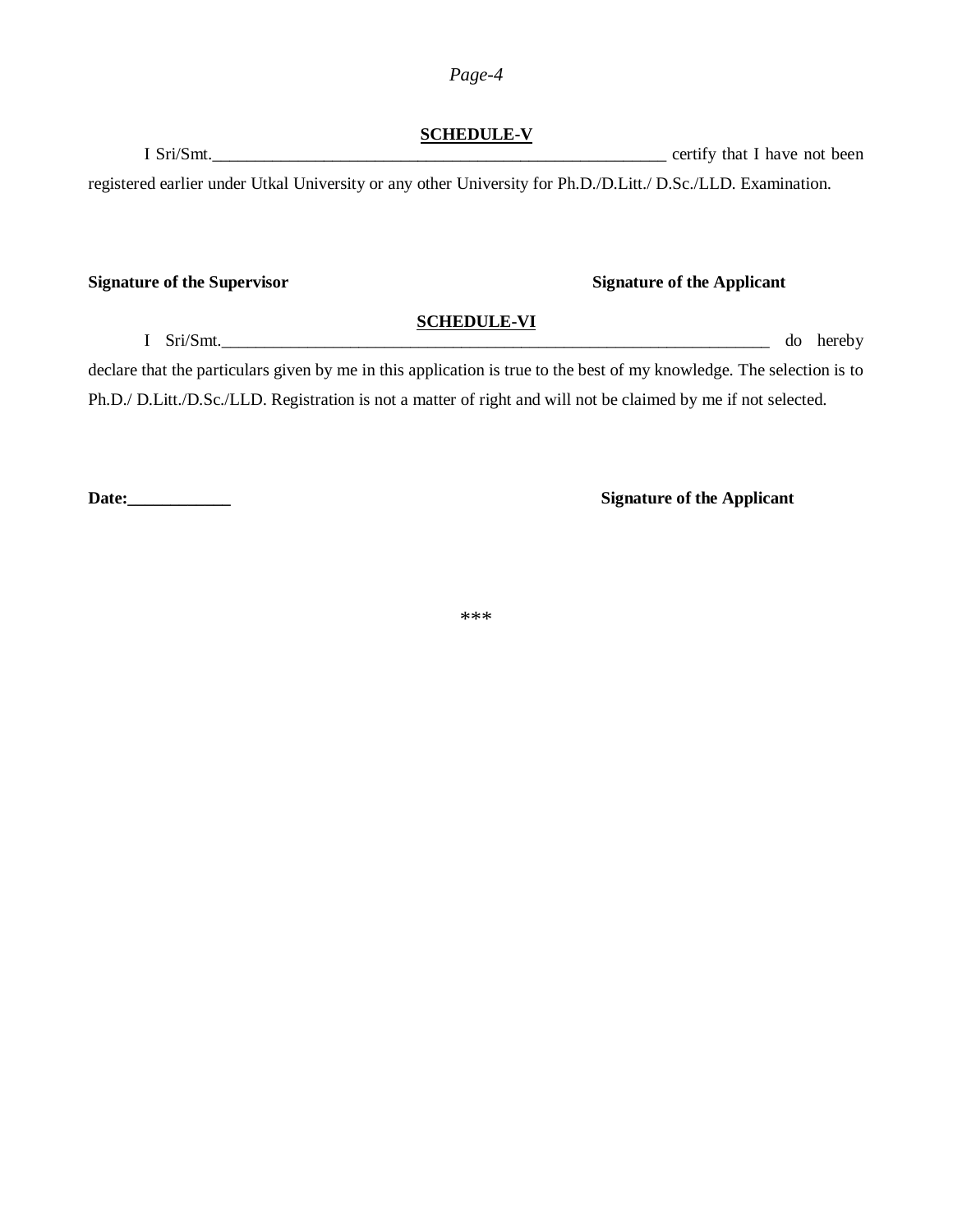# *Page-4*

# **SCHEDULE-V**

I Sri/Smt. registered earlier under Utkal University or any other University for Ph.D./D.Litt./ D.Sc./LLD. Examination.

### **Signature of the Supervisor Signature of the Applicant**

I Sri/Smt. do hereby do hereby

declare that the particulars given by me in this application is true to the best of my knowledge. The selection is to Ph.D./ D.Litt./D.Sc./LLD. Registration is not a matter of right and will not be claimed by me if not selected.

**SCHEDULE-VI**

**Date:\_\_\_\_\_\_\_\_\_\_\_\_ Signature of the Applicant**

\*\*\*